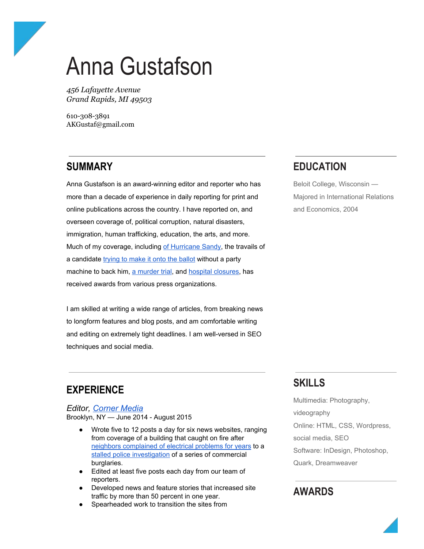# Anna Gustafson

*456 Lafayette Avenue Grand Rapids, MI 49503*

610-308-3891 AKGustaf@gmail.com

## **SUMMARY**

Anna Gustafson is an award-winning editor and reporter who has more than a decade of experience in daily reporting for print and online publications across the country. I have reported on, and overseen coverage of, political corruption, natural disasters, immigration, human trafficking, education, the arts, and more. Much of my coverage, including of [Hurricane](http://theforumnewsgroup.com/2014/04/11/the-forum-takes-first-place-for-hurricane-sandy-anniversary-issue/) Sandy, the travails of a candidate trying to [make](http://www.qchron.com/editions/queenswide/chronicle-wins-key-newspaper-awards/article_bfe9ccdd-3f51-56b1-8dff-4b80c1deef1e.html) it onto the ballot without a party machine to back him, a [murder](http://www.qchron.com/editions/queenswide/chronicle-wins-key-newspaper-awards/article_bfe9ccdd-3f51-56b1-8dff-4b80c1deef1e.html) trial, and hospital [closures,](http://www.timesledger.com/stories/2011/16/at_nypa_awards_20110414.html) has received awards from various press organizations.

I am skilled at writing a wide range of articles, from breaking news to longform features and blog posts, and am comfortable writing and editing on extremely tight deadlines. I am well-versed in SEO techniques and social media.

## **EDUCATION**

Beloit College, Wisconsin — Majored in International Relations and Economics, 2004

## **EXPERIENCE**

*Editor, [Corner](http://cornernewsmedia.com/) Media* Brooklyn, NY - June 2014 - August 2015

- Wrote five to 12 posts a day for six news websites, ranging from coverage of a building that caught on fire after neighbors [complained](http://ditmasparkcorner.com/blog/news/charred-remains-newkirk-avenue-apartment-neighbors-said-pleaded-landlord-years-fix-buildings-electrical-problems) of electrical problems for years to a stalled police [investigation](http://ditmasparkcorner.com/blog/news/months-robberies-stalled-investigation-questions-security) of a series of commercial burglaries.
- Edited at least five posts each day from our team of reporters.
- Developed news and feature stories that increased site traffic by more than 50 percent in one year.
- Spearheaded work to transition the sites from

## **SKILLS**

Multimedia: Photography, videography Online: HTML, CSS, Wordpress, social media, SEO Software: InDesign, Photoshop, Quark, Dreamweaver

## **AWARDS**